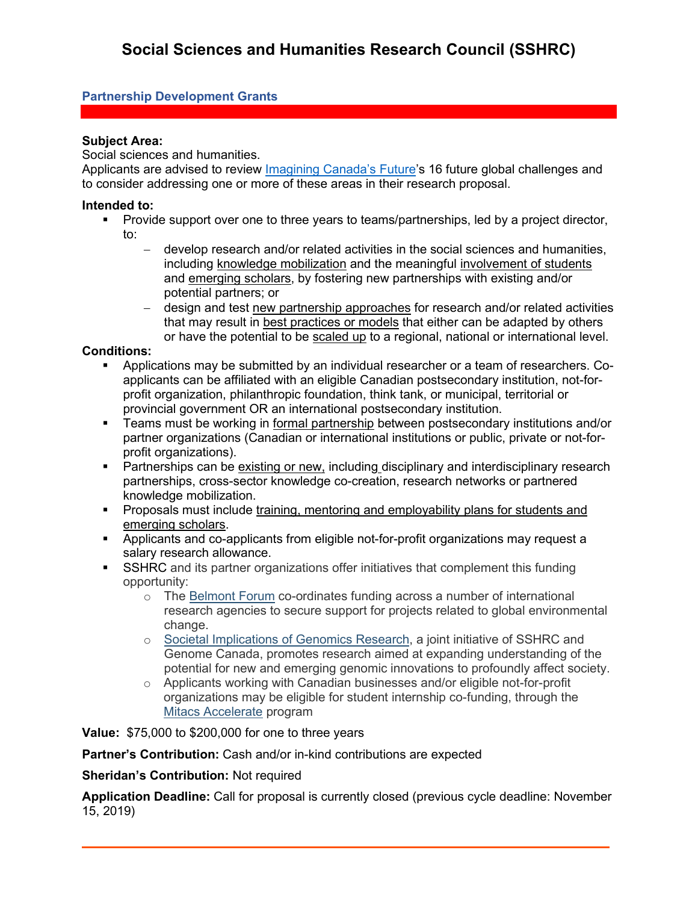## **Partnership Development Grants**

#### **Subject Area:**

Social sciences and humanities.

Applicants are advised to review [Imagining Canada's Future'](https://www.sshrc-crsh.gc.ca/society-societe/community-communite/Imagining_Canadas_Future-Imaginer_l_avenir_du_Canada-eng.aspx)s 16 future global challenges and to consider addressing one or more of these areas in their research proposal.

#### **Intended to:**

- Provide support over one to three years to teams/partnerships, led by a project director, to:
	- − develop research and/or related activities in the social sciences and humanities, including knowledge mobilization and the meaningful involvement of students and emerging scholars, by fostering new partnerships with existing and/or potential partners; or
	- − design and test new partnership approaches for research and/or related activities that may result in best practices or models that either can be adapted by others or have the potential to be scaled up to a regional, national or international level.

#### **Conditions:**

- Applications may be submitted by an individual researcher or a team of researchers. Coapplicants can be affiliated with an eligible Canadian postsecondary institution, not-forprofit organization, philanthropic foundation, think tank, or municipal, territorial or provincial government OR an international postsecondary institution.
- Teams must be working in formal partnership between postsecondary institutions and/or partner organizations (Canadian or international institutions or public, private or not-forprofit organizations).
- Partnerships can be existing or new, including disciplinary and interdisciplinary research partnerships, cross-sector knowledge co-creation, research networks or partnered knowledge mobilization.
- Proposals must include training, mentoring and employability plans for students and emerging scholars.
- Applicants and co-applicants from eligible not-for-profit organizations may request a salary research allowance.
- **SSHRC** and its partner organizations offer initiatives that complement this funding opportunity:
	- o The [Belmont Forum](https://www.sshrc-crsh.gc.ca/about-au_sujet/partnerships-partenariats/belmont-eng.aspx) co-ordinates funding across a number of international research agencies to secure support for projects related to global environmental change.
	- o [Societal Implications of Genomics Research,](http://www.genomecanada.ca/en/programs/leading-edge-technologies/funding-opportunities/societal-implications-genomics-research) a joint initiative of SSHRC and Genome Canada, promotes research aimed at expanding understanding of the potential for new and emerging genomic innovations to profoundly affect society.
	- o Applicants working with Canadian businesses and/or eligible not-for-profit organizations may be eligible for student internship co-funding, through the [Mitacs Accelerate](https://www.mitacs.ca/en/programs/accelerate) program

**Value:** \$75,000 to \$200,000 for one to three years

**Partner's Contribution:** Cash and/or in-kind contributions are expected

## **Sheridan's Contribution:** Not required

**Application Deadline:** Call for proposal is currently closed (previous cycle deadline: November 15, 2019)